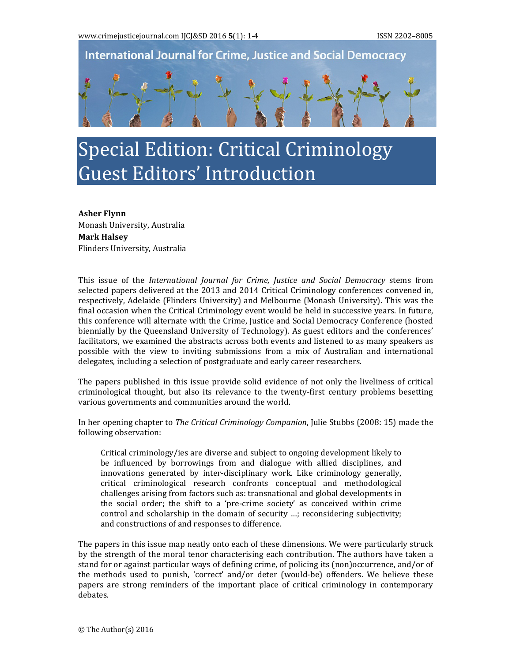**International Journal for Crime, Justice and Social Democracy** 

## Special Edition: Critical Criminology Guest Editors' Introduction

**Asher Flynn** Monash University, Australia **Mark Halsey** Flinders University, Australia

This issue of the *International Journal for Crime, Justice and Social Democracy* stems from selected papers delivered at the 2013 and 2014 Critical Criminology conferences convened in, respectively, Adelaide (Flinders University) and Melbourne (Monash University). This was the final occasion when the Critical Criminology event would be held in successive years. In future, this conference will alternate with the Crime, Justice and Social Democracy Conference (hosted biennially by the Queensland University of Technology). As guest editors and the conferences' facilitators, we examined the abstracts across both events and listened to as many speakers as possible with the view to inviting submissions from a mix of Australian and international delegates, including a selection of postgraduate and early career researchers.

The papers published in this issue provide solid evidence of not only the liveliness of critical criminological thought, but also its relevance to the twenty-first century problems besetting various governments and communities around the world.

In her opening chapter to *The Critical Criminology Companion*, Julie Stubbs (2008: 15) made the following observation:

Critical criminology/ies are diverse and subject to ongoing development likely to be influenced by borrowings from and dialogue with allied disciplines, and innovations generated by inter-disciplinary work. Like criminology generally, critical criminological research confronts conceptual and methodological challenges arising from factors such as: transnational and global developments in the social order; the shift to a 'pre-crime society' as conceived within crime control and scholarship in the domain of security  $\ldots$ ; reconsidering subjectivity; and constructions of and responses to difference.

The papers in this issue map neatly onto each of these dimensions. We were particularly struck by the strength of the moral tenor characterising each contribution. The authors have taken a stand for or against particular ways of defining crime, of policing its (non)occurrence, and/or of the methods used to punish, 'correct' and/or deter (would-be) offenders. We believe these papers are strong reminders of the important place of critical criminology in contemporary debates.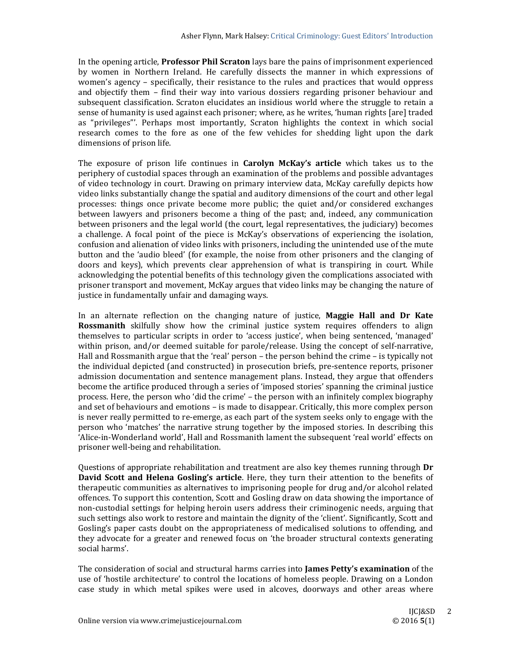In the opening article, **Professor Phil Scraton** lays bare the pains of imprisonment experienced by women in Northern Ireland. He carefully dissects the manner in which expressions of women's agency – specifically, their resistance to the rules and practices that would oppress and objectify them – find their way into various dossiers regarding prisoner behaviour and subsequent classification. Scraton elucidates an insidious world where the struggle to retain a sense of humanity is used against each prisoner; where, as he writes, 'human rights [are] traded as "privileges"'. Perhaps most importantly, Scraton highlights the context in which social research comes to the fore as one of the few vehicles for shedding light upon the dark dimensions of prison life.

The exposure of prison life continues in **Carolyn McKay's article** which takes us to the periphery of custodial spaces through an examination of the problems and possible advantages of video technology in court. Drawing on primary interview data, McKay carefully depicts how video links substantially change the spatial and auditory dimensions of the court and other legal processes: things once private become more public; the quiet and/or considered exchanges between lawyers and prisoners become a thing of the past; and, indeed, any communication between prisoners and the legal world (the court, legal representatives, the judiciary) becomes a challenge. A focal point of the piece is McKay's observations of experiencing the isolation, confusion and alienation of video links with prisoners, including the unintended use of the mute button and the 'audio bleed' (for example, the noise from other prisoners and the clanging of doors and keys), which prevents clear apprehension of what is transpiring in court. While acknowledging the potential benefits of this technology given the complications associated with prisoner transport and movement, McKay argues that video links may be changing the nature of justice in fundamentally unfair and damaging ways.

In an alternate reflection on the changing nature of justice, **Maggie Hall and Dr Kate Rossmanith** skilfully show how the criminal justice system requires offenders to align themselves to particular scripts in order to 'access justice', when being sentenced, 'managed' within prison, and/or deemed suitable for parole/release. Using the concept of self-narrative, Hall and Rossmanith argue that the 'real' person – the person behind the crime – is typically not the individual depicted (and constructed) in prosecution briefs, pre-sentence reports, prisoner admission documentation and sentence management plans. Instead, they argue that offenders become the artifice produced through a series of 'imposed stories' spanning the criminal justice process. Here, the person who 'did the crime' – the person with an infinitely complex biography and set of behaviours and emotions – is made to disappear. Critically, this more complex person is never really permitted to re-emerge, as each part of the system seeks only to engage with the person who 'matches' the narrative strung together by the imposed stories. In describing this 'Alice-in-Wonderland world', Hall and Rossmanith lament the subsequent 'real world' effects on prisoner well-being and rehabilitation.

Questions of appropriate rehabilitation and treatment are also key themes running through **Dr David Scott and Helena Gosling's article**. Here, they turn their attention to the benefits of therapeutic communities as alternatives to imprisoning people for drug and/or alcohol related offences. To support this contention, Scott and Gosling draw on data showing the importance of non-custodial settings for helping heroin users address their criminogenic needs, arguing that such settings also work to restore and maintain the dignity of the 'client'. Significantly, Scott and Gosling's paper casts doubt on the appropriateness of medicalised solutions to offending, and they advocate for a greater and renewed focus on 'the broader structural contexts generating social harms'.

The consideration of social and structural harms carries into **James Petty's examination** of the use of 'hostile architecture' to control the locations of homeless people. Drawing on a London case study in which metal spikes were used in alcoves, doorways and other areas where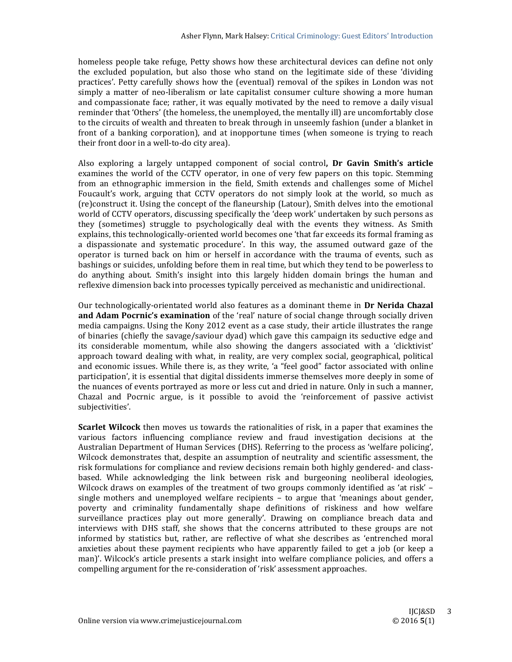homeless people take refuge, Petty shows how these architectural devices can define not only the excluded population, but also those who stand on the legitimate side of these 'dividing practices'. Petty carefully shows how the (eventual) removal of the spikes in London was not simply a matter of neo-liberalism or late capitalist consumer culture showing a more human and compassionate face; rather, it was equally motivated by the need to remove a daily visual reminder that 'Others' (the homeless, the unemployed, the mentally ill) are uncomfortably close to the circuits of wealth and threaten to break through in unseemly fashion (under a blanket in front of a banking corporation), and at inopportune times (when someone is trying to reach their front door in a well-to-do city area).

Also exploring a largely untapped component of social control**, Dr Gavin Smith's article** examines the world of the CCTV operator, in one of very few papers on this topic. Stemming from an ethnographic immersion in the field, Smith extends and challenges some of Michel Foucault's work, arguing that CCTV operators do not simply look at the world, so much as (re)construct it. Using the concept of the flaneurship (Latour), Smith delves into the emotional world of CCTV operators, discussing specifically the 'deep work' undertaken by such persons as they (sometimes) struggle to psychologically deal with the events they witness. As Smith explains, this technologically-oriented world becomes one 'that far exceeds its formal framing as a dispassionate and systematic procedure'. In this way, the assumed outward gaze of the operator is turned back on him or herself in accordance with the trauma of events, such as bashings or suicides, unfolding before them in real time, but which they tend to be powerless to do anything about. Smith's insight into this largely hidden domain brings the human and reflexive dimension back into processes typically perceived as mechanistic and unidirectional.

Our technologically-orientated world also features as a dominant theme in **Dr Nerida Chazal and Adam Pocrnic's examination** of the 'real' nature of social change through socially driven media campaigns. Using the Kony 2012 event as a case study, their article illustrates the range of binaries (chiefly the savage/saviour dyad) which gave this campaign its seductive edge and its considerable momentum, while also showing the dangers associated with a 'clicktivist' approach toward dealing with what, in reality, are very complex social, geographical, political and economic issues. While there is, as they write, 'a "feel good" factor associated with online participation', it is essential that digital dissidents immerse themselves more deeply in some of the nuances of events portrayed as more or less cut and dried in nature. Only in such a manner, Chazal and Pocrnic argue, is it possible to avoid the 'reinforcement of passive activist subjectivities'. 

**Scarlet Wilcock** then moves us towards the rationalities of risk, in a paper that examines the various factors influencing compliance review and fraud investigation decisions at the Australian Department of Human Services (DHS). Referring to the process as 'welfare policing', Wilcock demonstrates that, despite an assumption of neutrality and scientific assessment, the risk formulations for compliance and review decisions remain both highly gendered- and classbased. While acknowledging the link between risk and burgeoning neoliberal ideologies, Wilcock draws on examples of the treatment of two groups commonly identified as 'at risk'  $$ single mothers and unemployed welfare recipients  $-$  to argue that 'meanings about gender, poverty and criminality fundamentally shape definitions of riskiness and how welfare surveillance practices play out more generally'. Drawing on compliance breach data and interviews with DHS staff, she shows that the concerns attributed to these groups are not informed by statistics but, rather, are reflective of what she describes as 'entrenched moral anxieties about these payment recipients who have apparently failed to get a job (or keep a man)'. Wilcock's article presents a stark insight into welfare compliance policies, and offers a compelling argument for the re-consideration of 'risk' assessment approaches.